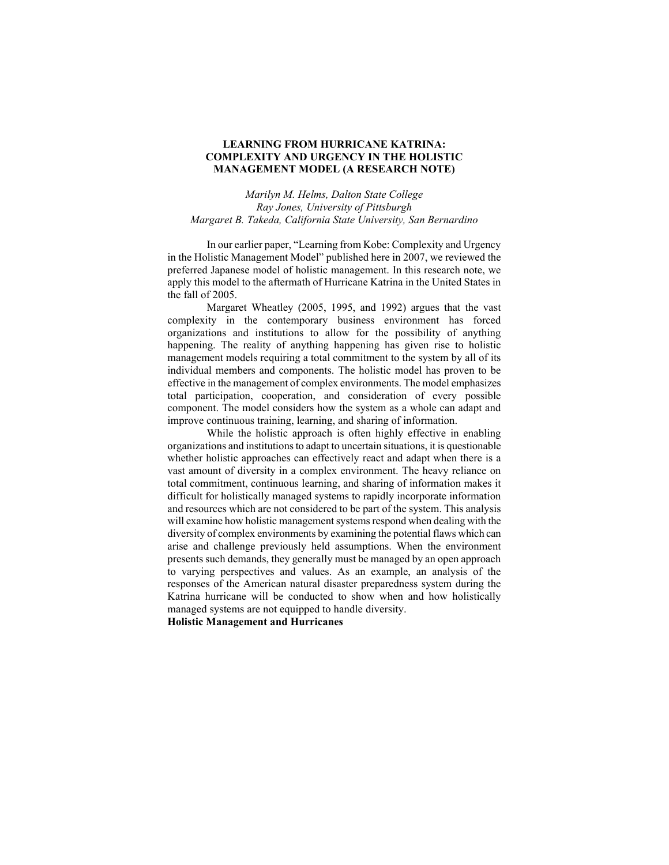# **LEARNING FROM HURRICANE KATRINA: COMPLEXITY AND URGENCY IN THE HOLISTIC MANAGEMENT MODEL (A RESEARCH NOTE)**

*Marilyn M. Helms, Dalton State College Ray Jones, University of Pittsburgh Margaret B. Takeda, California State University, San Bernardino*

In our earlier paper, "Learning from Kobe: Complexity and Urgency in the Holistic Management Model" published here in 2007, we reviewed the preferred Japanese model of holistic management. In this research note, we apply this model to the aftermath of Hurricane Katrina in the United States in the fall of 2005.

Margaret Wheatley (2005, 1995, and 1992) argues that the vast complexity in the contemporary business environment has forced organizations and institutions to allow for the possibility of anything happening. The reality of anything happening has given rise to holistic management models requiring a total commitment to the system by all of its individual members and components. The holistic model has proven to be effective in the management of complex environments. The model emphasizes total participation, cooperation, and consideration of every possible component. The model considers how the system as a whole can adapt and improve continuous training, learning, and sharing of information.

While the holistic approach is often highly effective in enabling organizations and institutions to adapt to uncertain situations, it is questionable whether holistic approaches can effectively react and adapt when there is a vast amount of diversity in a complex environment. The heavy reliance on total commitment, continuous learning, and sharing of information makes it difficult for holistically managed systems to rapidly incorporate information and resources which are not considered to be part of the system. This analysis will examine how holistic management systems respond when dealing with the diversity of complex environments by examining the potential flaws which can arise and challenge previously held assumptions. When the environment presents such demands, they generally must be managed by an open approach to varying perspectives and values. As an example, an analysis of the responses of the American natural disaster preparedness system during the Katrina hurricane will be conducted to show when and how holistically managed systems are not equipped to handle diversity.

**Holistic Management and Hurricanes**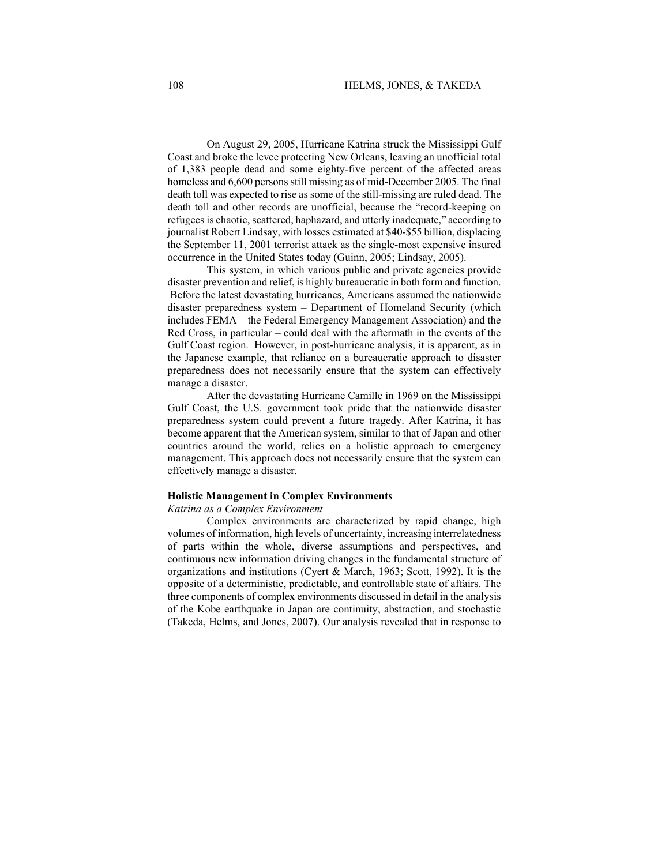On August 29, 2005, Hurricane Katrina struck the Mississippi Gulf Coast and broke the levee protecting New Orleans, leaving an unofficial total of 1,383 people dead and some eighty-five percent of the affected areas homeless and 6,600 persons still missing as of mid-December 2005. The final death toll was expected to rise as some of the still-missing are ruled dead. The death toll and other records are unofficial, because the "record-keeping on refugees is chaotic, scattered, haphazard, and utterly inadequate," according to journalist Robert Lindsay, with losses estimated at \$40-\$55 billion, displacing the September 11, 2001 terrorist attack as the single-most expensive insured occurrence in the United States today (Guinn, 2005; Lindsay, 2005).

This system, in which various public and private agencies provide disaster prevention and relief, is highly bureaucratic in both form and function. Before the latest devastating hurricanes, Americans assumed the nationwide disaster preparedness system – Department of Homeland Security (which includes FEMA – the Federal Emergency Management Association) and the Red Cross, in particular – could deal with the aftermath in the events of the Gulf Coast region. However, in post-hurricane analysis, it is apparent, as in the Japanese example, that reliance on a bureaucratic approach to disaster preparedness does not necessarily ensure that the system can effectively manage a disaster.

After the devastating Hurricane Camille in 1969 on the Mississippi Gulf Coast, the U.S. government took pride that the nationwide disaster preparedness system could prevent a future tragedy. After Katrina, it has become apparent that the American system, similar to that of Japan and other countries around the world, relies on a holistic approach to emergency management. This approach does not necessarily ensure that the system can effectively manage a disaster.

#### **Holistic Management in Complex Environments**

#### *Katrina as a Complex Environment*

Complex environments are characterized by rapid change, high volumes of information, high levels of uncertainty, increasing interrelatedness of parts within the whole, diverse assumptions and perspectives, and continuous new information driving changes in the fundamental structure of organizations and institutions (Cyert & March, 1963; Scott, 1992). It is the opposite of a deterministic, predictable, and controllable state of affairs. The three components of complex environments discussed in detail in the analysis of the Kobe earthquake in Japan are continuity, abstraction, and stochastic (Takeda, Helms, and Jones, 2007). Our analysis revealed that in response to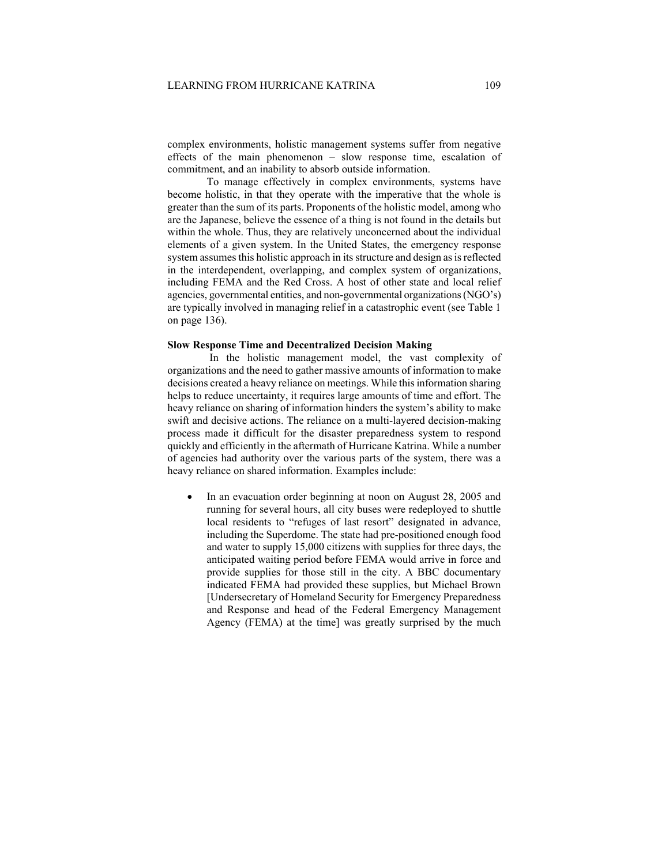complex environments, holistic management systems suffer from negative effects of the main phenomenon – slow response time, escalation of commitment, and an inability to absorb outside information.

To manage effectively in complex environments, systems have become holistic, in that they operate with the imperative that the whole is greater than the sum of its parts. Proponents of the holistic model, among who are the Japanese, believe the essence of a thing is not found in the details but within the whole. Thus, they are relatively unconcerned about the individual elements of a given system. In the United States, the emergency response system assumes this holistic approach in its structure and design as is reflected in the interdependent, overlapping, and complex system of organizations, including FEMA and the Red Cross. A host of other state and local relief agencies, governmental entities, and non-governmental organizations (NGO's) are typically involved in managing relief in a catastrophic event (see Table 1 on page 136).

## **Slow Response Time and Decentralized Decision Making**

In the holistic management model, the vast complexity of organizations and the need to gather massive amounts of information to make decisions created a heavy reliance on meetings. While this information sharing helps to reduce uncertainty, it requires large amounts of time and effort. The heavy reliance on sharing of information hinders the system's ability to make swift and decisive actions. The reliance on a multi-layered decision-making process made it difficult for the disaster preparedness system to respond quickly and efficiently in the aftermath of Hurricane Katrina. While a number of agencies had authority over the various parts of the system, there was a heavy reliance on shared information. Examples include:

In an evacuation order beginning at noon on August 28, 2005 and running for several hours, all city buses were redeployed to shuttle local residents to "refuges of last resort" designated in advance, including the Superdome. The state had pre-positioned enough food and water to supply 15,000 citizens with supplies for three days, the anticipated waiting period before FEMA would arrive in force and provide supplies for those still in the city. A BBC documentary indicated FEMA had provided these supplies, but Michael Brown [Undersecretary of Homeland Security for Emergency Preparedness and Response and head of the Federal Emergency Management Agency (FEMA) at the time] was greatly surprised by the much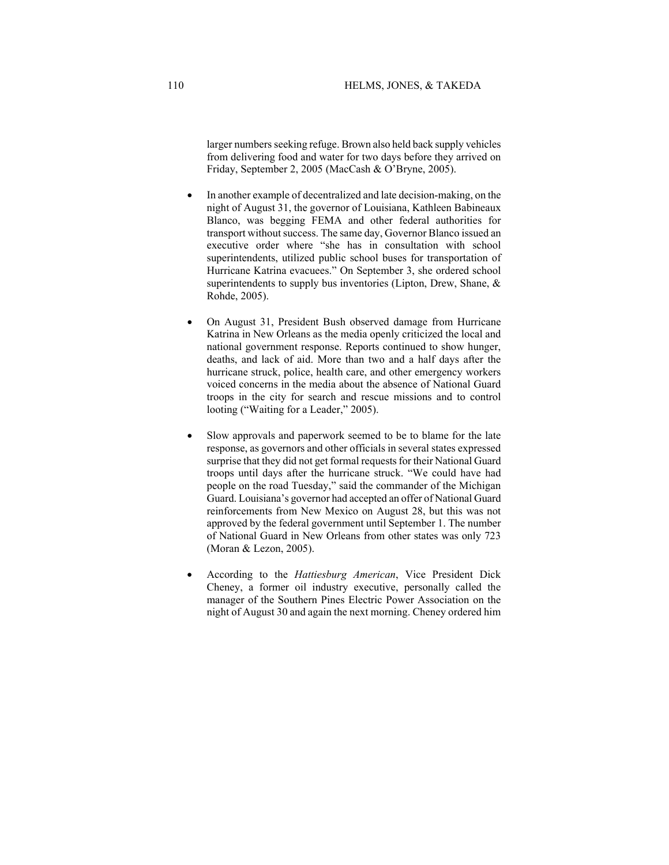larger numbers seeking refuge. Brown also held back supply vehicles from delivering food and water for two days before they arrived on Friday, September 2, 2005 (MacCash & O'Bryne, 2005).

- In another example of decentralized and late decision-making, on the night of August 31, the governor of Louisiana, Kathleen Babineaux Blanco, was begging FEMA and other federal authorities for transport without success. The same day, Governor Blanco issued an executive order where "she has in consultation with school superintendents, utilized public school buses for transportation of Hurricane Katrina evacuees." On September 3, she ordered school superintendents to supply bus inventories (Lipton, Drew, Shane, & Rohde, 2005).
- On August 31, President Bush observed damage from Hurricane Katrina in New Orleans as the media openly criticized the local and national government response. Reports continued to show hunger, deaths, and lack of aid. More than two and a half days after the hurricane struck, police, health care, and other emergency workers voiced concerns in the media about the absence of National Guard troops in the city for search and rescue missions and to control looting ("Waiting for a Leader," 2005).
- Slow approvals and paperwork seemed to be to blame for the late response, as governors and other officials in several states expressed surprise that they did not get formal requests for their National Guard troops until days after the hurricane struck. "We could have had people on the road Tuesday," said the commander of the Michigan Guard. Louisiana's governor had accepted an offer of National Guard reinforcements from New Mexico on August 28, but this was not approved by the federal government until September 1. The number of National Guard in New Orleans from other states was only 723 (Moran & Lezon, 2005).
- According to the *Hattiesburg American*, Vice President Dick Cheney, a former oil industry executive, personally called the manager of the Southern Pines Electric Power Association on the night of August 30 and again the next morning. Cheney ordered him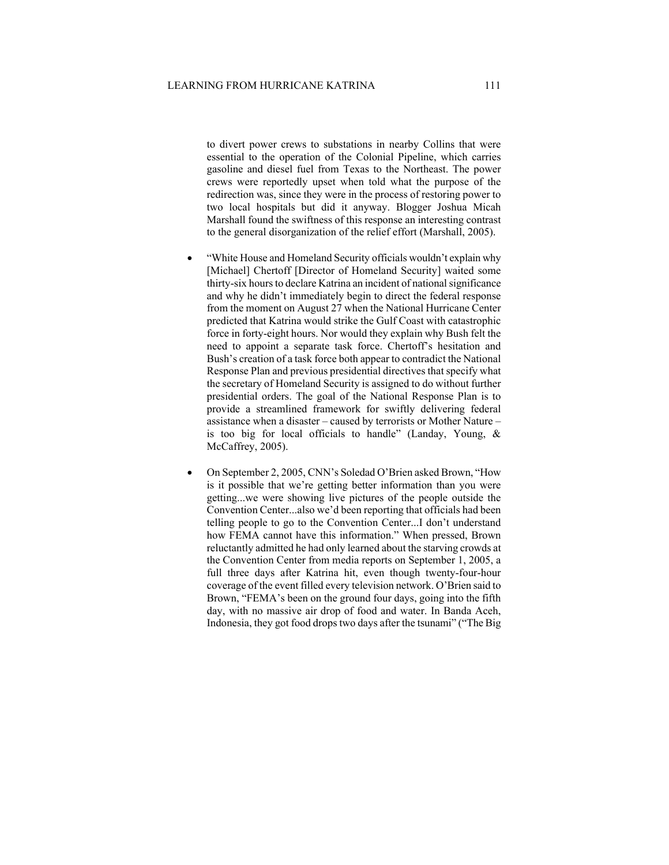to divert power crews to substations in nearby Collins that were essential to the operation of the Colonial Pipeline, which carries gasoline and diesel fuel from Texas to the Northeast. The power crews were reportedly upset when told what the purpose of the redirection was, since they were in the process of restoring power to two local hospitals but did it anyway. Blogger Joshua Micah Marshall found the swiftness of this response an interesting contrast to the general disorganization of the relief effort (Marshall, 2005).

- "White House and Homeland Security officials wouldn't explain why [Michael] Chertoff [Director of Homeland Security] waited some thirty-six hours to declare Katrina an incident of national significance and why he didn't immediately begin to direct the federal response from the moment on August 27 when the National Hurricane Center predicted that Katrina would strike the Gulf Coast with catastrophic force in forty-eight hours. Nor would they explain why Bush felt the need to appoint a separate task force. Chertoff's hesitation and Bush's creation of a task force both appear to contradict the National Response Plan and previous presidential directives that specify what the secretary of Homeland Security is assigned to do without further presidential orders. The goal of the National Response Plan is to provide a streamlined framework for swiftly delivering federal assistance when a disaster – caused by terrorists or Mother Nature – is too big for local officials to handle" (Landay, Young, & McCaffrey, 2005).
- On September 2, 2005, CNN's Soledad O'Brien asked Brown, "How is it possible that we're getting better information than you were getting...we were showing live pictures of the people outside the Convention Center...also we'd been reporting that officials had been telling people to go to the Convention Center...I don't understand how FEMA cannot have this information." When pressed, Brown reluctantly admitted he had only learned about the starving crowds at the Convention Center from media reports on September 1, 2005, a full three days after Katrina hit, even though twenty-four-hour coverage of the event filled every television network. O'Brien said to Brown, "FEMA's been on the ground four days, going into the fifth day, with no massive air drop of food and water. In Banda Aceh, Indonesia, they got food drops two days after the tsunami" ("The Big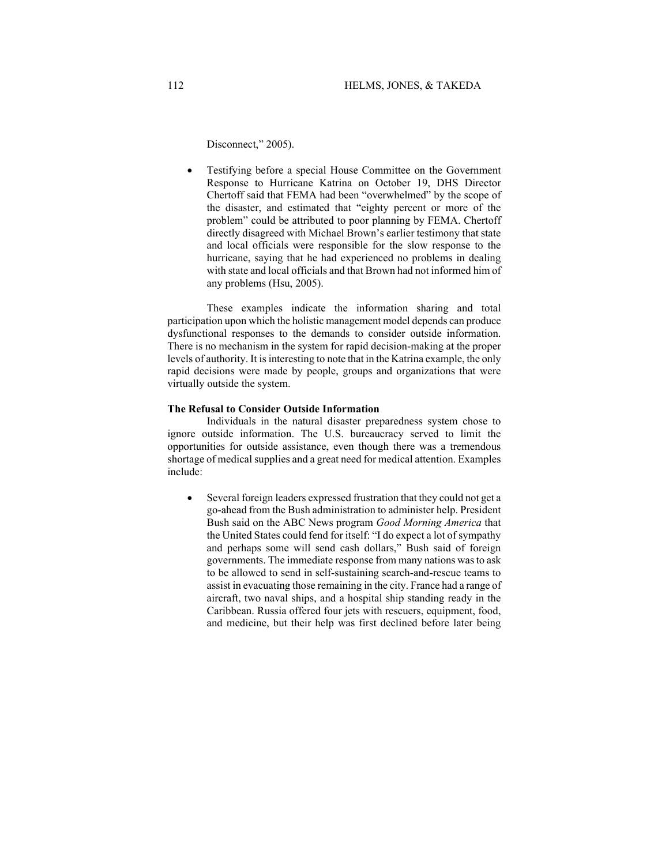Disconnect," 2005).

• Testifying before a special House Committee on the Government Response to Hurricane Katrina on October 19, DHS Director Chertoff said that FEMA had been "overwhelmed" by the scope of the disaster, and estimated that "eighty percent or more of the problem" could be attributed to poor planning by FEMA. Chertoff directly disagreed with Michael Brown's earlier testimony that state and local officials were responsible for the slow response to the hurricane, saying that he had experienced no problems in dealing with state and local officials and that Brown had not informed him of any problems (Hsu, 2005).

These examples indicate the information sharing and total participation upon which the holistic management model depends can produce dysfunctional responses to the demands to consider outside information. There is no mechanism in the system for rapid decision-making at the proper levels of authority. It is interesting to note that in the Katrina example, the only rapid decisions were made by people, groups and organizations that were virtually outside the system.

### **The Refusal to Consider Outside Information**

Individuals in the natural disaster preparedness system chose to ignore outside information. The U.S. bureaucracy served to limit the opportunities for outside assistance, even though there was a tremendous shortage of medical supplies and a great need for medical attention. Examples include:

• Several foreign leaders expressed frustration that they could not get a go-ahead from the Bush administration to administer help. President Bush said on the ABC News program *Good Morning America* that the United States could fend for itself: "I do expect a lot of sympathy and perhaps some will send cash dollars," Bush said of foreign governments. The immediate response from many nations was to ask to be allowed to send in self-sustaining search-and-rescue teams to assist in evacuating those remaining in the city. France had a range of aircraft, two naval ships, and a hospital ship standing ready in the Caribbean. Russia offered four jets with rescuers, equipment, food, and medicine, but their help was first declined before later being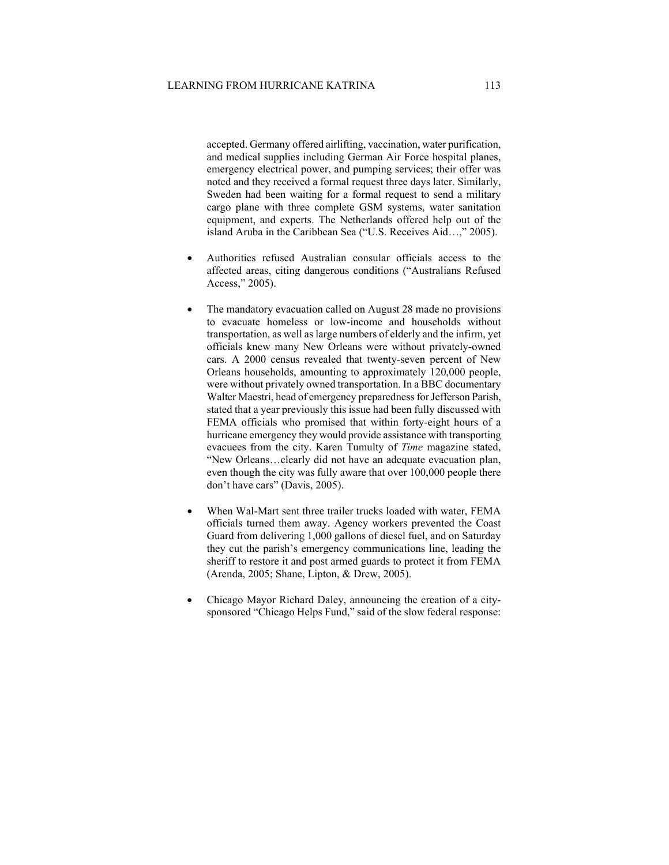accepted. Germany offered airlifting, vaccination, water purification, and medical supplies including German Air Force hospital planes, emergency electrical power, and pumping services; their offer was noted and they received a formal request three days later. Similarly, Sweden had been waiting for a formal request to send a military cargo plane with three complete GSM systems, water sanitation equipment, and experts. The Netherlands offered help out of the island Aruba in the Caribbean Sea ("U.S. Receives Aid…," 2005).

- Authorities refused Australian consular officials access to the affected areas, citing dangerous conditions ("Australians Refused Access," 2005).
- The mandatory evacuation called on August 28 made no provisions to evacuate homeless or low-income and households without transportation, as well as large numbers of elderly and the infirm, yet officials knew many New Orleans were without privately-owned cars. A 2000 census revealed that twenty-seven percent of New Orleans households, amounting to approximately 120,000 people, were without privately owned transportation. In a BBC documentary Walter Maestri, head of emergency preparedness for Jefferson Parish, stated that a year previously this issue had been fully discussed with FEMA officials who promised that within forty-eight hours of a hurricane emergency they would provide assistance with transporting evacuees from the city. Karen Tumulty of *Time* magazine stated, "New Orleans…clearly did not have an adequate evacuation plan, even though the city was fully aware that over 100,000 people there don't have cars" (Davis, 2005).
- When Wal-Mart sent three trailer trucks loaded with water, FEMA officials turned them away. Agency workers prevented the Coast Guard from delivering 1,000 gallons of diesel fuel, and on Saturday they cut the parish's emergency communications line, leading the sheriff to restore it and post armed guards to protect it from FEMA (Arenda, 2005; Shane, Lipton, & Drew, 2005).
- Chicago Mayor Richard Daley, announcing the creation of a citysponsored "Chicago Helps Fund," said of the slow federal response: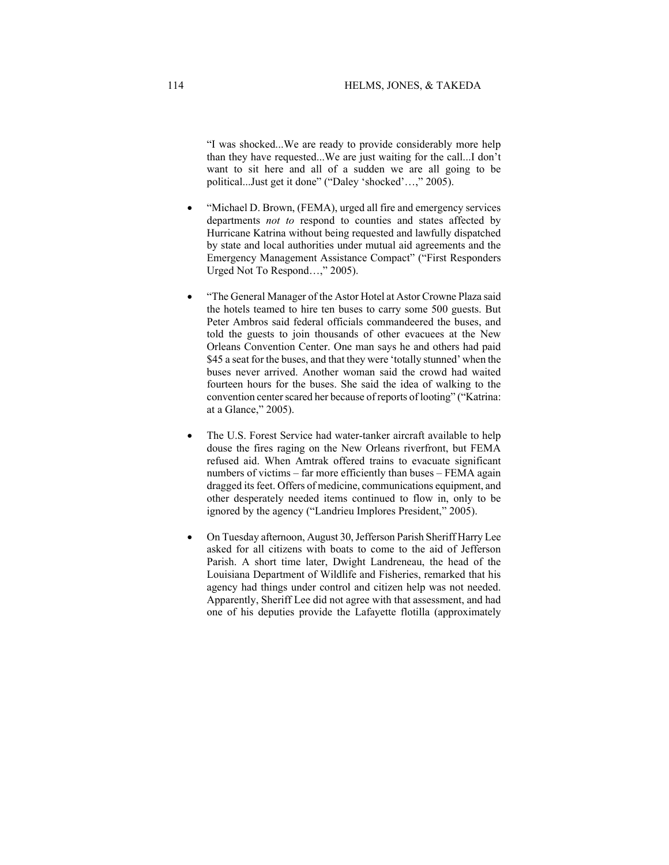"I was shocked...We are ready to provide considerably more help than they have requested...We are just waiting for the call...I don't want to sit here and all of a sudden we are all going to be political...Just get it done" ("Daley 'shocked'…," 2005).

- "Michael D. Brown, (FEMA), urged all fire and emergency services departments *not to* respond to counties and states affected by Hurricane Katrina without being requested and lawfully dispatched by state and local authorities under mutual aid agreements and the Emergency Management Assistance Compact" ("First Responders Urged Not To Respond…," 2005).
- "The General Manager of the Astor Hotel at Astor Crowne Plaza said the hotels teamed to hire ten buses to carry some 500 guests. But Peter Ambros said federal officials commandeered the buses, and told the guests to join thousands of other evacuees at the New Orleans Convention Center. One man says he and others had paid \$45 a seat for the buses, and that they were 'totally stunned' when the buses never arrived. Another woman said the crowd had waited fourteen hours for the buses. She said the idea of walking to the convention center scared her because of reports of looting" ("Katrina: at a Glance," 2005).
- The U.S. Forest Service had water-tanker aircraft available to help douse the fires raging on the New Orleans riverfront, but FEMA refused aid. When Amtrak offered trains to evacuate significant numbers of victims – far more efficiently than buses – FEMA again dragged its feet. Offers of medicine, communications equipment, and other desperately needed items continued to flow in, only to be ignored by the agency ("Landrieu Implores President," 2005).
- On Tuesday afternoon, August 30, Jefferson Parish Sheriff Harry Lee asked for all citizens with boats to come to the aid of Jefferson Parish. A short time later, Dwight Landreneau, the head of the Louisiana Department of Wildlife and Fisheries, remarked that his agency had things under control and citizen help was not needed. Apparently, Sheriff Lee did not agree with that assessment, and had one of his deputies provide the Lafayette flotilla (approximately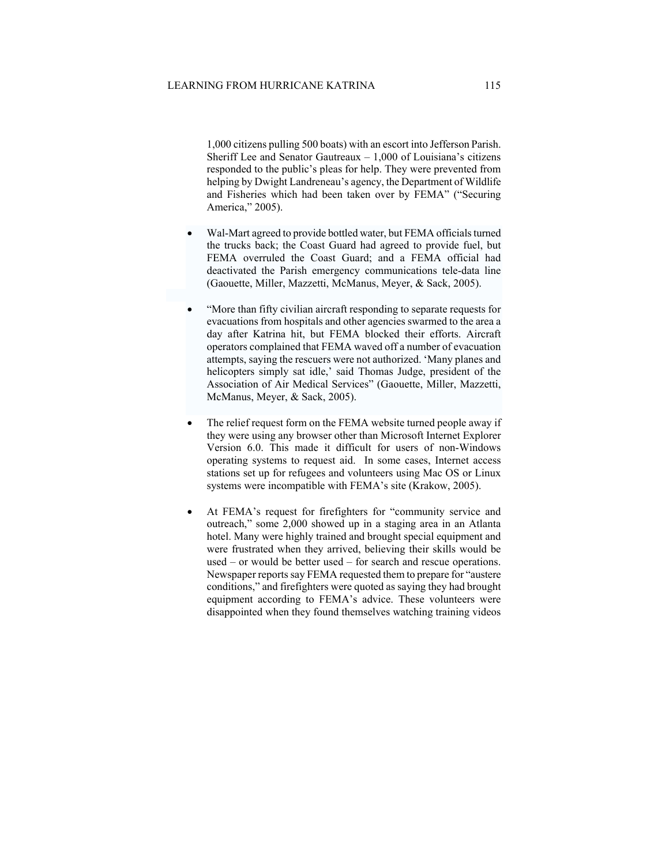1,000 citizens pulling 500 boats) with an escort into Jefferson Parish. Sheriff Lee and Senator Gautreaux  $-1,000$  of Louisiana's citizens responded to the public's pleas for help. They were prevented from helping by Dwight Landreneau's agency, the Department of Wildlife and Fisheries which had been taken over by FEMA" ("Securing America," 2005).

- Wal-Mart agreed to provide bottled water, but FEMA officials turned the trucks back; the Coast Guard had agreed to provide fuel, but FEMA overruled the Coast Guard; and a FEMA official had deactivated the Parish emergency communications tele-data line (Gaouette, Miller, Mazzetti, McManus, Meyer, & Sack, 2005).
- "More than fifty civilian aircraft responding to separate requests for evacuations from hospitals and other agencies swarmed to the area a day after Katrina hit, but FEMA blocked their efforts. Aircraft operators complained that FEMA waved off a number of evacuation attempts, saying the rescuers were not authorized. 'Many planes and helicopters simply sat idle,' said Thomas Judge, president of the Association of Air Medical Services" (Gaouette, Miller, Mazzetti, McManus, Meyer, & Sack, 2005).
- The relief request form on the FEMA website turned people away if they were using any browser other than Microsoft Internet Explorer Version 6.0. This made it difficult for users of non-Windows operating systems to request aid. In some cases, Internet access stations set up for refugees and volunteers using Mac OS or Linux systems were incompatible with FEMA's site (Krakow, 2005).
- At FEMA's request for firefighters for "community service and outreach," some 2,000 showed up in a staging area in an Atlanta hotel. Many were highly trained and brought special equipment and were frustrated when they arrived, believing their skills would be used – or would be better used – for search and rescue operations. Newspaper reports say FEMA requested them to prepare for "austere conditions," and firefighters were quoted as saying they had brought equipment according to FEMA's advice. These volunteers were disappointed when they found themselves watching training videos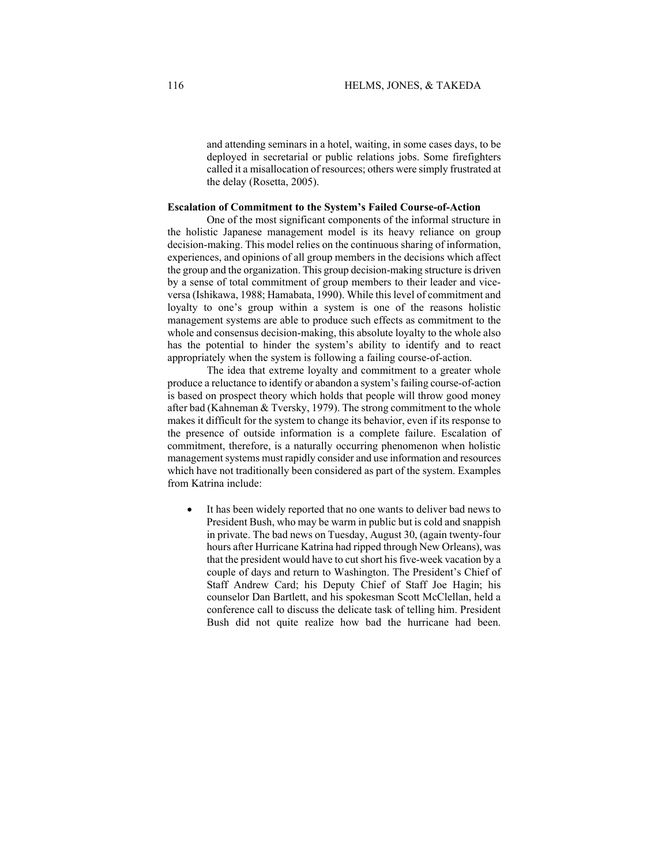and attending seminars in a hotel, waiting, in some cases days, to be deployed in secretarial or public relations jobs. Some firefighters called it a misallocation of resources; others were simply frustrated at the delay (Rosetta, 2005).

## **Escalation of Commitment to the System's Failed Course-of-Action**

One of the most significant components of the informal structure in the holistic Japanese management model is its heavy reliance on group decision-making. This model relies on the continuous sharing of information, experiences, and opinions of all group members in the decisions which affect the group and the organization. This group decision-making structure is driven by a sense of total commitment of group members to their leader and viceversa (Ishikawa, 1988; Hamabata, 1990). While this level of commitment and loyalty to one's group within a system is one of the reasons holistic management systems are able to produce such effects as commitment to the whole and consensus decision-making, this absolute loyalty to the whole also has the potential to hinder the system's ability to identify and to react appropriately when the system is following a failing course-of-action.

The idea that extreme loyalty and commitment to a greater whole produce a reluctance to identify or abandon a system's failing course-of-action is based on prospect theory which holds that people will throw good money after bad (Kahneman & Tversky, 1979). The strong commitment to the whole makes it difficult for the system to change its behavior, even if its response to the presence of outside information is a complete failure. Escalation of commitment, therefore, is a naturally occurring phenomenon when holistic management systems must rapidly consider and use information and resources which have not traditionally been considered as part of the system. Examples from Katrina include:

• It has been widely reported that no one wants to deliver bad news to President Bush, who may be warm in public but is cold and snappish in private. The bad news on Tuesday, August 30, (again twenty-four hours after Hurricane Katrina had ripped through New Orleans), was that the president would have to cut short his five-week vacation by a couple of days and return to Washington. The President's Chief of Staff Andrew Card; his Deputy Chief of Staff Joe Hagin; his counselor Dan Bartlett, and his spokesman Scott McClellan, held a conference call to discuss the delicate task of telling him. President Bush did not quite realize how bad the hurricane had been.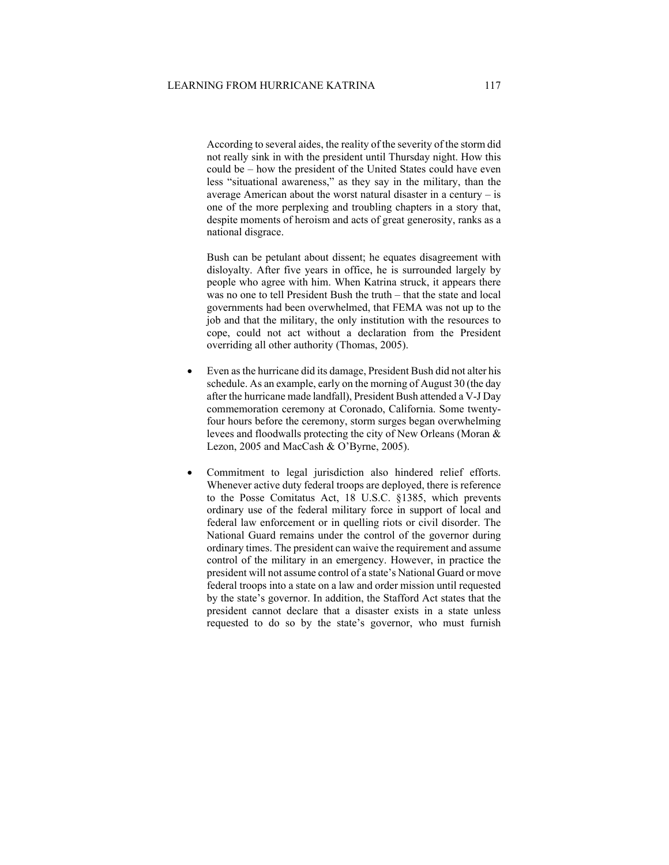According to several aides, the reality of the severity of the storm did not really sink in with the president until Thursday night. How this could be – how the president of the United States could have even less "situational awareness," as they say in the military, than the average American about the worst natural disaster in a century  $-$  is one of the more perplexing and troubling chapters in a story that, despite moments of heroism and acts of great generosity, ranks as a national disgrace.

Bush can be petulant about dissent; he equates disagreement with disloyalty. After five years in office, he is surrounded largely by people who agree with him. When Katrina struck, it appears there was no one to tell President Bush the truth – that the state and local governments had been overwhelmed, that FEMA was not up to the job and that the military, the only institution with the resources to cope, could not act without a declaration from the President overriding all other authority (Thomas, 2005).

- Even as the hurricane did its damage, President Bush did not alter his schedule. As an example, early on the morning of August 30 (the day after the hurricane made landfall), President Bush attended a V-J Day commemoration ceremony at Coronado, California. Some twentyfour hours before the ceremony, storm surges began overwhelming levees and floodwalls protecting the city of New Orleans (Moran & Lezon, 2005 and MacCash & O'Byrne, 2005).
- Commitment to legal jurisdiction also hindered relief efforts. Whenever active duty federal troops are deployed, there is reference to the Posse Comitatus Act, 18 U.S.C. §1385, which prevents ordinary use of the federal military force in support of local and federal law enforcement or in quelling riots or civil disorder. The National Guard remains under the control of the governor during ordinary times. The president can waive the requirement and assume control of the military in an emergency. However, in practice the president will not assume control of a state's National Guard or move federal troops into a state on a law and order mission until requested by the state's governor. In addition, the Stafford Act states that the president cannot declare that a disaster exists in a state unless requested to do so by the state's governor, who must furnish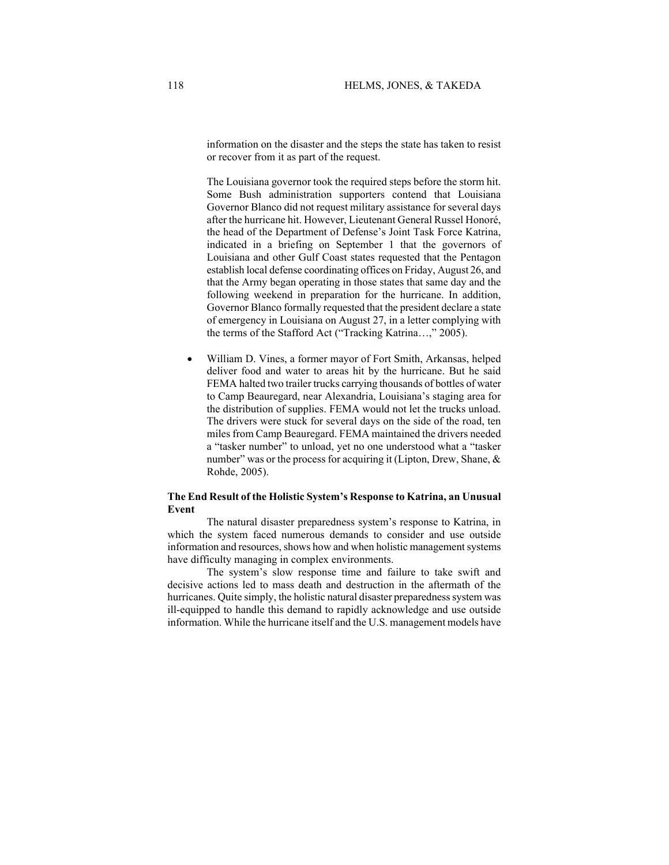information on the disaster and the steps the state has taken to resist or recover from it as part of the request.

The Louisiana governor took the required steps before the storm hit. Some Bush administration supporters contend that Louisiana Governor Blanco did not request military assistance for several days after the hurricane hit. However, Lieutenant General Russel Honoré, the head of the Department of Defense's Joint Task Force Katrina, indicated in a briefing on September 1 that the governors of Louisiana and other Gulf Coast states requested that the Pentagon establish local defense coordinating offices on Friday, August 26, and that the Army began operating in those states that same day and the following weekend in preparation for the hurricane. In addition, Governor Blanco formally requested that the president declare a state of emergency in Louisiana on August 27, in a letter complying with the terms of the Stafford Act ("Tracking Katrina…," 2005).

• William D. Vines, a former mayor of Fort Smith, Arkansas, helped deliver food and water to areas hit by the hurricane. But he said FEMA halted two trailer trucks carrying thousands of bottles of water to Camp Beauregard, near Alexandria, Louisiana's staging area for the distribution of supplies. FEMA would not let the trucks unload. The drivers were stuck for several days on the side of the road, ten miles from Camp Beauregard. FEMA maintained the drivers needed a "tasker number" to unload, yet no one understood what a "tasker number" was or the process for acquiring it (Lipton, Drew, Shane, & Rohde, 2005).

# **The End Result of the Holistic System's Response to Katrina, an Unusual Event**

The natural disaster preparedness system's response to Katrina, in which the system faced numerous demands to consider and use outside information and resources, shows how and when holistic management systems have difficulty managing in complex environments.

The system's slow response time and failure to take swift and decisive actions led to mass death and destruction in the aftermath of the hurricanes. Quite simply, the holistic natural disaster preparedness system was ill-equipped to handle this demand to rapidly acknowledge and use outside information. While the hurricane itself and the U.S. management models have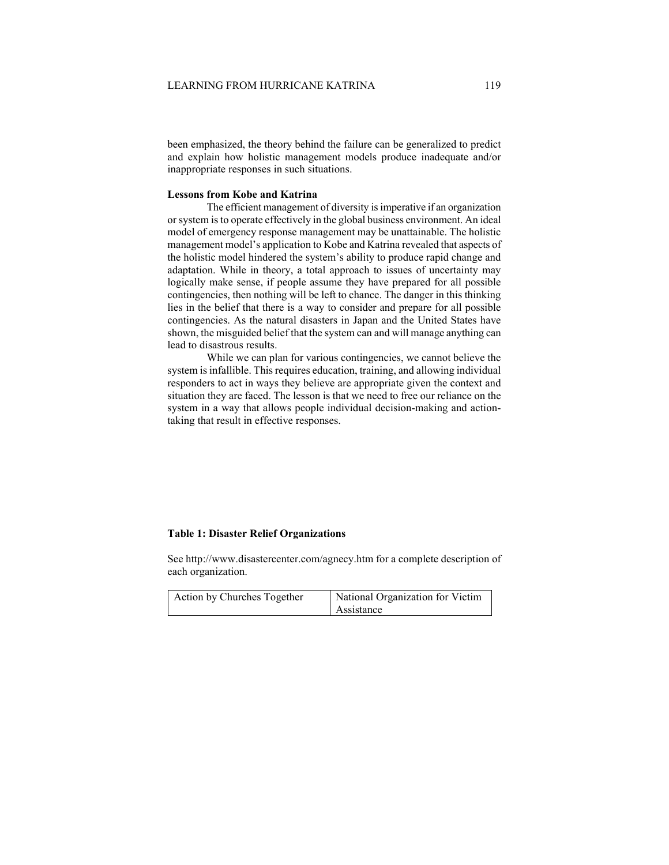been emphasized, the theory behind the failure can be generalized to predict and explain how holistic management models produce inadequate and/or inappropriate responses in such situations.

# **Lessons from Kobe and Katrina**

The efficient management of diversity is imperative if an organization or system is to operate effectively in the global business environment. An ideal model of emergency response management may be unattainable. The holistic management model's application to Kobe and Katrina revealed that aspects of the holistic model hindered the system's ability to produce rapid change and adaptation. While in theory, a total approach to issues of uncertainty may logically make sense, if people assume they have prepared for all possible contingencies, then nothing will be left to chance. The danger in this thinking lies in the belief that there is a way to consider and prepare for all possible contingencies. As the natural disasters in Japan and the United States have shown, the misguided belief that the system can and will manage anything can lead to disastrous results.

While we can plan for various contingencies, we cannot believe the system is infallible. This requires education, training, and allowing individual responders to act in ways they believe are appropriate given the context and situation they are faced. The lesson is that we need to free our reliance on the system in a way that allows people individual decision-making and actiontaking that result in effective responses.

# **Table 1: Disaster Relief Organizations**

See http://www.disastercenter.com/agnecy.htm for a complete description of each organization.

| Action by Churches Together | National Organization for Victim |
|-----------------------------|----------------------------------|
|                             | Assistance                       |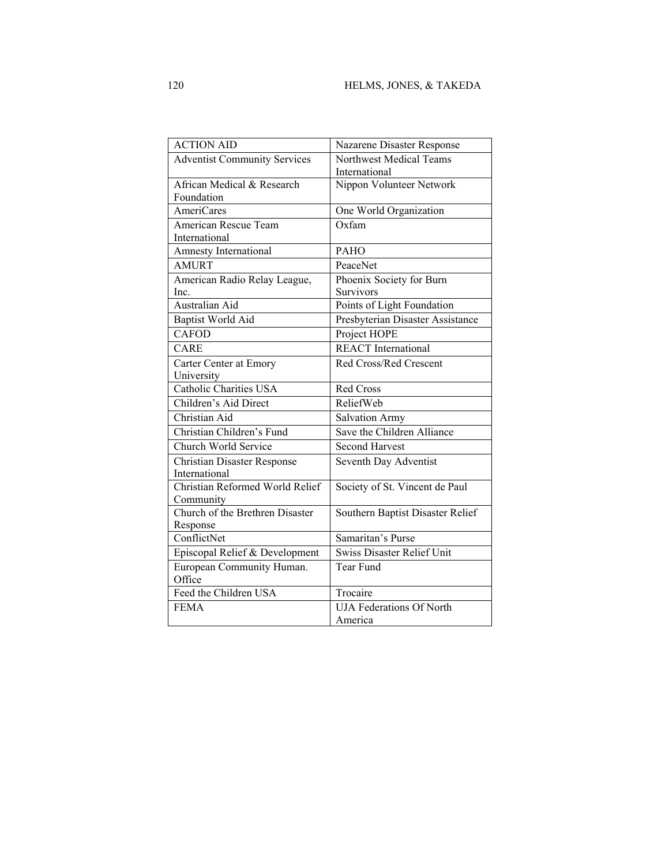| <b>ACTION AID</b>                   | Nazarene Disaster Response                 |
|-------------------------------------|--------------------------------------------|
| <b>Adventist Community Services</b> | Northwest Medical Teams<br>International   |
| African Medical & Research          | Nippon Volunteer Network                   |
| Foundation                          |                                            |
| AmeriCares                          | One World Organization                     |
| American Rescue Team                | Oxfam                                      |
| International                       |                                            |
| Amnesty International               | <b>PAHO</b>                                |
| <b>AMURT</b>                        | PeaceNet                                   |
| American Radio Relay League,        | Phoenix Society for Burn                   |
| Inc.                                | Survivors                                  |
| Australian Aid                      | Points of Light Foundation                 |
| <b>Baptist World Aid</b>            | Presbyterian Disaster Assistance           |
| <b>CAFOD</b>                        | Project HOPE                               |
| CARE                                | <b>REACT</b> International                 |
| Carter Center at Emory              | Red Cross/Red Crescent                     |
| University                          |                                            |
| Catholic Charities USA              | <b>Red Cross</b>                           |
|                                     |                                            |
| Children's Aid Direct               | ReliefWeb                                  |
| Christian Aid                       | Salvation Army                             |
| Christian Children's Fund           | Save the Children Alliance                 |
| Church World Service                | <b>Second Harvest</b>                      |
| <b>Christian Disaster Response</b>  | Seventh Day Adventist                      |
| International                       |                                            |
| Christian Reformed World Relief     | Society of St. Vincent de Paul             |
| Community                           |                                            |
| Church of the Brethren Disaster     | Southern Baptist Disaster Relief           |
| Response                            |                                            |
| ConflictNet                         | Samaritan's Purse                          |
| Episcopal Relief & Development      | <b>Swiss Disaster Relief Unit</b>          |
| European Community Human.           | Tear Fund                                  |
| Office                              |                                            |
| Feed the Children USA               | Trocaire                                   |
| <b>FEMA</b>                         | <b>UJA Federations Of North</b><br>America |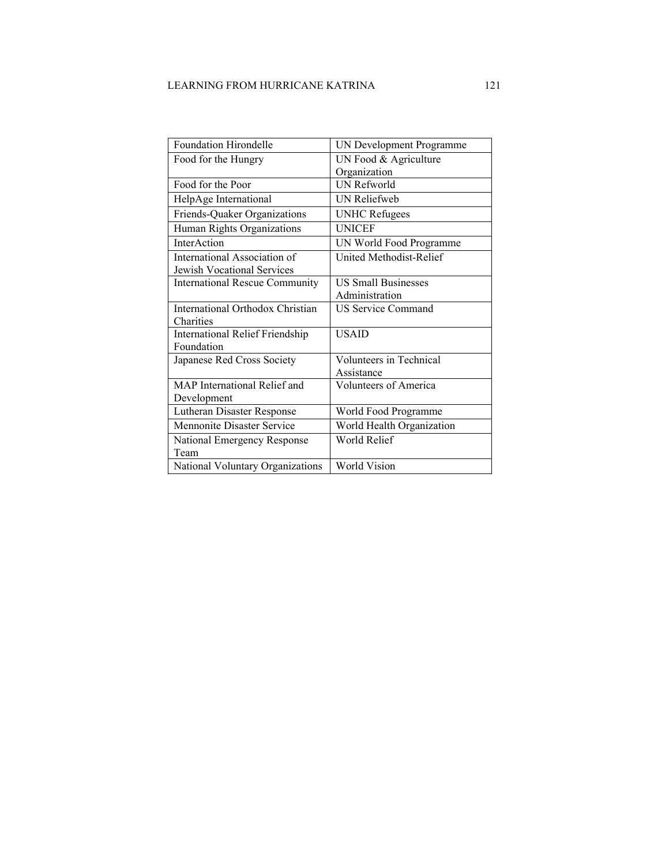| Foundation Hirondelle                  | UN Development Programme   |
|----------------------------------------|----------------------------|
| Food for the Hungry                    | UN Food & Agriculture      |
|                                        | Organization               |
| Food for the Poor                      | UN Refworld                |
| HelpAge International                  | <b>UN Reliefweb</b>        |
| Friends-Quaker Organizations           | <b>UNHC Refugees</b>       |
| Human Rights Organizations             | <b>UNICEF</b>              |
| InterAction                            | UN World Food Programme    |
| International Association of           | United Methodist-Relief    |
| Jewish Vocational Services             |                            |
| <b>International Rescue Community</b>  | <b>US Small Businesses</b> |
|                                        | Administration             |
| International Orthodox Christian       | <b>US Service Command</b>  |
| Charities                              |                            |
| <b>International Relief Friendship</b> | <b>USAID</b>               |
| Foundation                             |                            |
| Japanese Red Cross Society             | Volunteers in Technical    |
|                                        | Assistance                 |
| MAP International Relief and           | Volunteers of America      |
| Development                            |                            |
| Lutheran Disaster Response             | World Food Programme       |
| <b>Mennonite Disaster Service</b>      | World Health Organization  |
| National Emergency Response            | World Relief               |
| Team                                   |                            |
| National Voluntary Organizations       | World Vision               |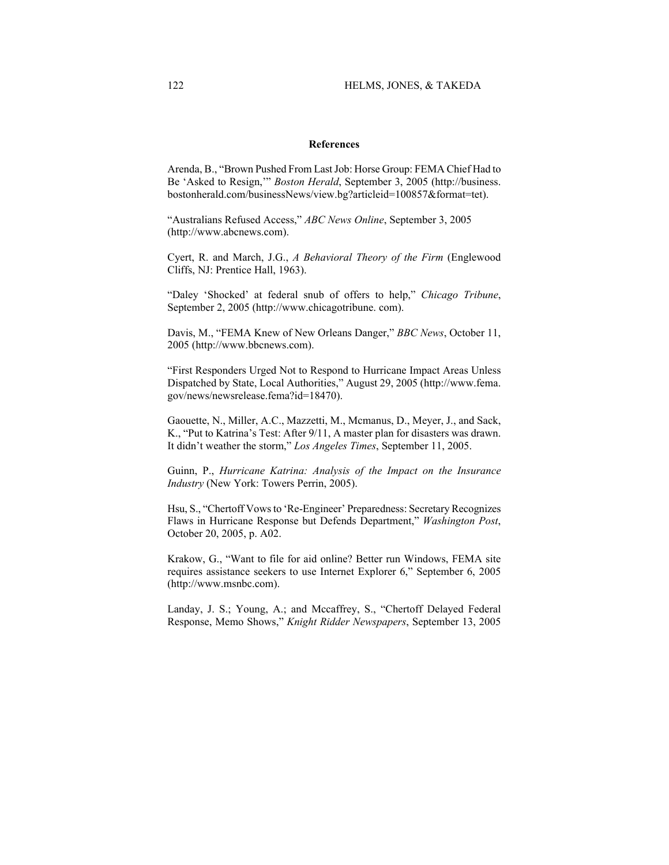## **References**

Arenda, B., "Brown Pushed From Last Job: Horse Group: FEMA Chief Had to Be 'Asked to Resign,'" *Boston Herald*, September 3, 2005 (http://business. bostonherald.com/businessNews/view.bg?articleid=100857&format=tet).

"Australians Refused Access," *ABC News Online*, September 3, 2005 (http://www.abcnews.com).

Cyert, R. and March, J.G., *A Behavioral Theory of the Firm* (Englewood Cliffs, NJ: Prentice Hall, 1963).

"Daley 'Shocked' at federal snub of offers to help," *Chicago Tribune*, September 2, 2005 (http://www.chicagotribune. com).

Davis, M., "FEMA Knew of New Orleans Danger," *BBC News*, October 11, 2005 (http://www.bbcnews.com).

"First Responders Urged Not to Respond to Hurricane Impact Areas Unless Dispatched by State, Local Authorities," August 29, 2005 (http://www.fema. gov/news/newsrelease.fema?id=18470).

Gaouette, N., Miller, A.C., Mazzetti, M., Mcmanus, D., Meyer, J., and Sack, K., "Put to Katrina's Test: After 9/11, A master plan for disasters was drawn. It didn't weather the storm," *Los Angeles Times*, September 11, 2005.

Guinn, P., *Hurricane Katrina: Analysis of the Impact on the Insurance Industry* (New York: Towers Perrin, 2005).

Hsu, S., "Chertoff Vows to 'Re-Engineer' Preparedness: Secretary Recognizes Flaws in Hurricane Response but Defends Department," *Washington Post*, October 20, 2005, p. A02.

Krakow, G., "Want to file for aid online? Better run Windows, FEMA site requires assistance seekers to use Internet Explorer 6," September 6, 2005 (http://www.msnbc.com).

Landay, J. S.; Young, A.; and Mccaffrey, S., "Chertoff Delayed Federal Response, Memo Shows," *Knight Ridder Newspapers*, September 13, 2005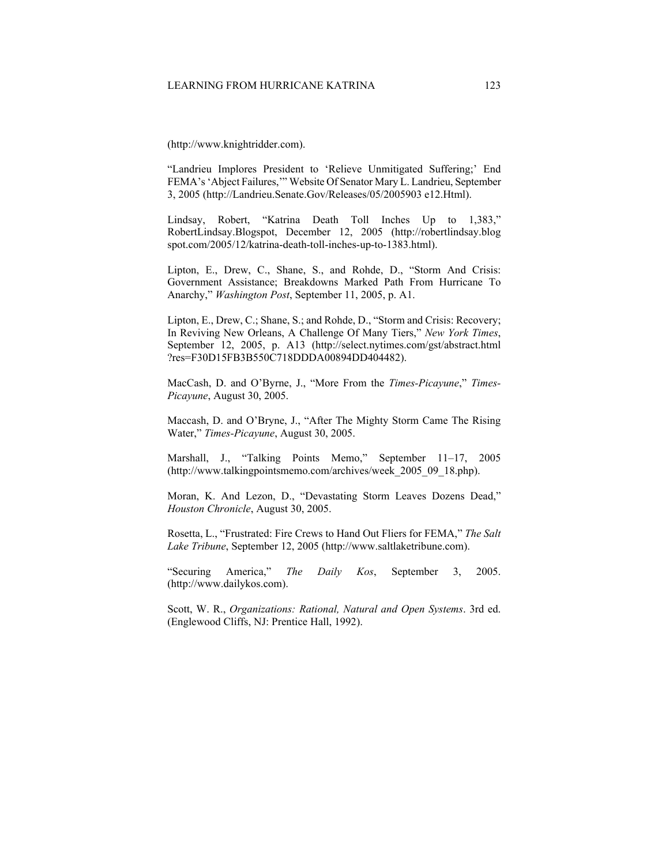(http://www.knightridder.com).

"Landrieu Implores President to 'Relieve Unmitigated Suffering;' End FEMA's 'Abject Failures,'" Website Of Senator Mary L. Landrieu, September 3, 2005 (http://Landrieu.Senate.Gov/Releases/05/2005903 e12.Html).

Lindsay, Robert, "Katrina Death Toll Inches Up to 1,383," RobertLindsay.Blogspot, December 12, 2005 (http://robertlindsay.blog spot.com/2005/12/katrina-death-toll-inches-up-to-1383.html).

Lipton, E., Drew, C., Shane, S., and Rohde, D., "Storm And Crisis: Government Assistance; Breakdowns Marked Path From Hurricane To Anarchy," *Washington Post*, September 11, 2005, p. A1.

Lipton, E., Drew, C.; Shane, S.; and Rohde, D., "Storm and Crisis: Recovery; In Reviving New Orleans, A Challenge Of Many Tiers," *New York Times*, September 12, 2005, p. A13 (http://select.nytimes.com/gst/abstract.html ?res=F30D15FB3B550C718DDDA00894DD404482).

MacCash, D. and O'Byrne, J., "More From the *Times-Picayune*," *Times-Picayune*, August 30, 2005.

Maccash, D. and O'Bryne, J., "After The Mighty Storm Came The Rising Water," *Times-Picayune*, August 30, 2005.

Marshall, J., "Talking Points Memo," September 11–17, 2005 [\(http://www.talkingpointsmemo.com/archives/week\\_2005\\_09\\_18.php\)](http://www.talkingpointsmemo.com/archives/week_2005_09_18.php).

Moran, K. And Lezon, D., "Devastating Storm Leaves Dozens Dead," *Houston Chronicle*, August 30, 2005.

Rosetta, L., "Frustrated: Fire Crews to Hand Out Fliers for FEMA," *The Salt Lake Tribune*, September 12, 2005 (http://www.saltlaketribune.com).

"Securing America," *The Daily Kos*, September 3, 2005. (http://www.dailykos.com).

Scott, W. R., *Organizations: Rational, Natural and Open Systems*. 3rd ed. (Englewood Cliffs, NJ: Prentice Hall, 1992).